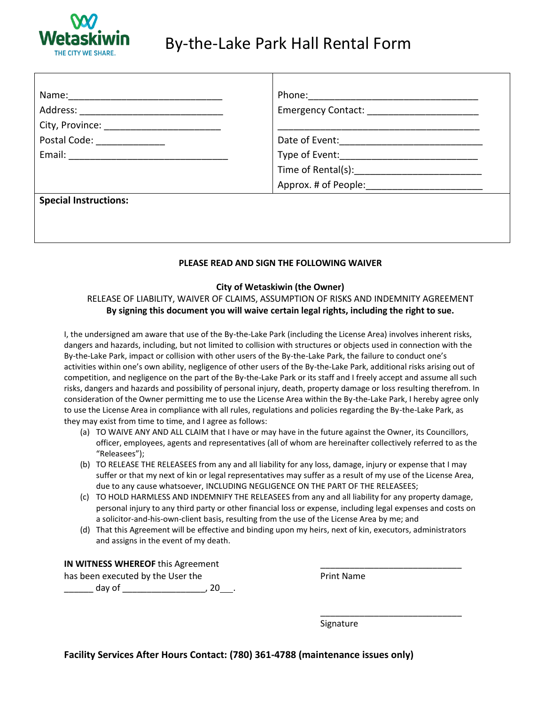

## By-the-Lake Park Hall Rental Form

| City, Province: _____________________________ |                            |
|-----------------------------------------------|----------------------------|
| Postal Code: ____________                     | Date of Event: ___________ |
|                                               |                            |
|                                               |                            |
|                                               |                            |
| <b>Special Instructions:</b>                  |                            |

### **PLEASE READ AND SIGN THE FOLLOWING WAIVER**

### **City of Wetaskiwin (the Owner)**

## RELEASE OF LIABILITY, WAIVER OF CLAIMS, ASSUMPTION OF RISKS AND INDEMNITY AGREEMENT **By signing this document you will waive certain legal rights, including the right to sue.**

I, the undersigned am aware that use of the By-the-Lake Park (including the License Area) involves inherent risks, dangers and hazards, including, but not limited to collision with structures or objects used in connection with the By-the-Lake Park, impact or collision with other users of the By-the-Lake Park, the failure to conduct one's activities within one's own ability, negligence of other users of the By-the-Lake Park, additional risks arising out of competition, and negligence on the part of the By-the-Lake Park or its staff and I freely accept and assume all such risks, dangers and hazards and possibility of personal injury, death, property damage or loss resulting therefrom. In consideration of the Owner permitting me to use the License Area within the By-the-Lake Park, I hereby agree only to use the License Area in compliance with all rules, regulations and policies regarding the By-the-Lake Park, as they may exist from time to time, and I agree as follows:

- (a) TO WAIVE ANY AND ALL CLAIM that I have or may have in the future against the Owner, its Councillors, officer, employees, agents and representatives (all of whom are hereinafter collectively referred to as the "Releasees");
- (b) TO RELEASE THE RELEASEES from any and all liability for any loss, damage, injury or expense that I may suffer or that my next of kin or legal representatives may suffer as a result of my use of the License Area, due to any cause whatsoever, INCLUDING NEGLIGENCE ON THE PART OF THE RELEASEES;
- (c) TO HOLD HARMLESS AND INDEMNIFY THE RELEASEES from any and all liability for any property damage, personal injury to any third party or other financial loss or expense, including legal expenses and costs on a solicitor-and-his-own-client basis, resulting from the use of the License Area by me; and
- (d) That this Agreement will be effective and binding upon my heirs, next of kin, executors, administrators and assigns in the event of my death.

### **IN WITNESS WHEREOF** this Agreement

has been executed by the User the **Print Name** \_\_\_\_\_\_ day of \_\_\_\_\_\_\_\_\_\_\_\_\_\_\_\_\_, 20 .

Signature

\_\_\_\_\_\_\_\_\_\_\_\_\_\_\_\_\_\_\_\_\_\_\_\_\_\_\_\_\_

**Facility Services After Hours Contact: (780) 361-4788 (maintenance issues only)**